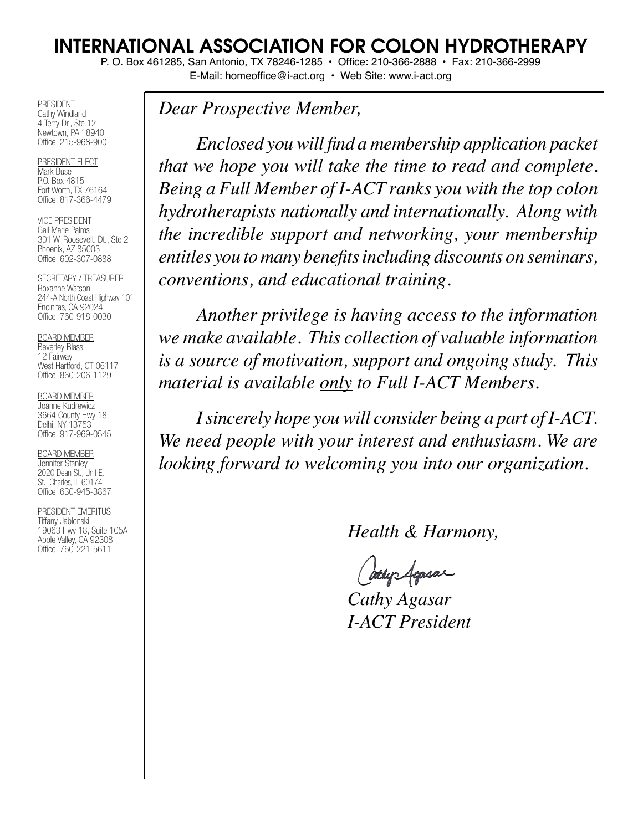# INTERNATIONAL ASSOCIATION FOR COLON HYDROTHERAPY

P. O. Box 461285, San Antonio, TX 78246-1285 • Office: 210-366-2888 • Fax: 210-366-2999

E-Mail: homeoffice@i-act.org • Web Site: www.i-act.org

PRESIDENT Cathy Windland 4 Terry Dr., Ste 12 Newtown, PA 18940 Office: 215-968-900

PRESIDENT ELECT Mark Buse P.O. Box 4815 Fort Worth, TX 76164 Office: 817-366-4479

VICE PRESIDENT Gail Marie Palms 301 W. Roosevelt. Dt., Ste 2 Phoenix, AZ 85003 Office: 602-307-0888

SECRETARY / TREASURER Roxanne Watson 244-A North Coast Highway 101 Encinitas, CA 92024 Office: 760-918-0030

BOARD MEMBER

Beverley Blass 12 Fairway West Hartford, CT 06117 Office: 860-206-1129

BOARD MEMBER Joanne Kudrewicz 3664 County Hwy 18

Delhi, NY 13753 Office: 917-969-0545

BOARD MEMBER Jennifer Stanley 2020 Dean St., Unit E. St., Charles, IL 60174 Office: 630-945-3867

PRESIDENT EMERITUS Tiffany Jablonski 19063 Hwy 18, Suite 105A Apple Valley, CA 92308 Office: 760-221-5611

*Dear Prospective Member,*

 *Enclosed you will find a membership application packet that we hope you will take the time to read and complete. Being a Full Member of I-ACT ranks you with the top colon hydrotherapists nationally and internationally. Along with the incredible support and networking, your membership entitles you to many benefits including discounts on seminars, conventions, and educational training.*

 *Another privilege is having access to the information we make available. This collection of valuable information is a source of motivation, support and ongoing study. This material is available only to Full I-ACT Members.*

 *I sincerely hope you will consider being a part of I-ACT. We need people with your interest and enthusiasm. We are looking forward to welcoming you into our organization.*

 *Health & Harmony,*

atly Agasar

 *Cathy Agasar I-ACT President*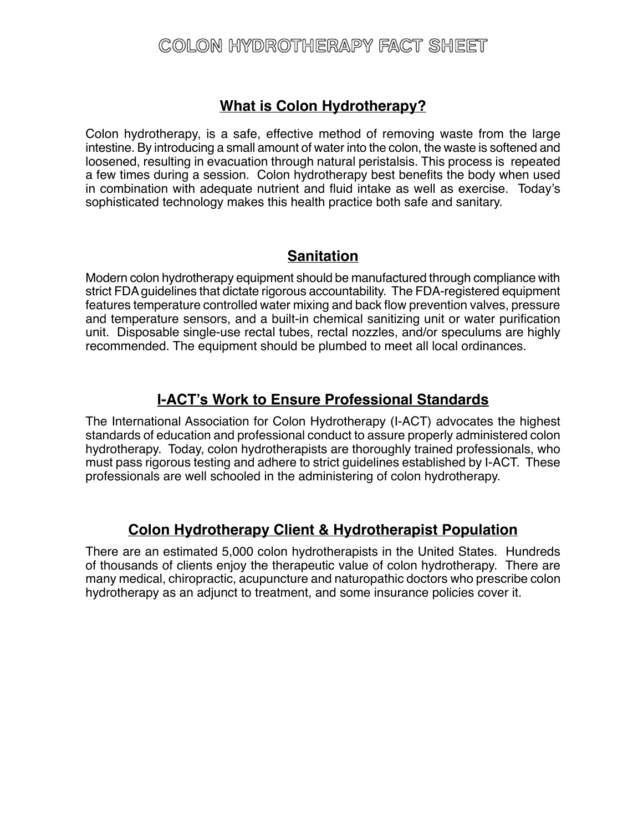# COLON HYDROTHERAPY FACT SHEET

## **What is Colon Hydrotherapy?**

Colon hydrotherapy, is a safe, effective method of removing waste from the large intestine. By introducing a small amount of water into the colon, the waste is softened and loosened, resulting in evacuation through natural peristalsis. This process is repeated a few times during a session. Colon hydrotherapy best benefits the body when used in combination with adequate nutrient and fluid intake as well as exercise. Today's sophisticated technology makes this health practice both safe and sanitary.

## **Sanitation**

Modern colon hydrotherapy equipment should be manufactured through compliance with strict FDA guidelines that dictate rigorous accountability. The FDA-registered equipment features temperature controlled water mixing and back flow prevention valves, pressure and temperature sensors, and a built-in chemical sanitizing unit or water purification unit. Disposable single-use rectal tubes, rectal nozzles, and/or speculums are highly recommended. The equipment should be plumbed to meet all local ordinances.

## **I-ACT's Work to Ensure Professional Standards**

The International Association for Colon Hydrotherapy (I-ACT) advocates the highest standards of education and professional conduct to assure properly administered colon hydrotherapy. Today, colon hydrotherapists are thoroughly trained professionals, who must pass rigorous testing and adhere to strict guidelines established by I-ACT. These professionals are well schooled in the administering of colon hydrotherapy.

## **Colon Hydrotherapy Client & Hydrotherapist Population**

There are an estimated 5,000 colon hydrotherapists in the United States. Hundreds of thousands of clients enjoy the therapeutic value of colon hydrotherapy. There are many medical, chiropractic, acupuncture and naturopathic doctors who prescribe colon hydrotherapy as an adjunct to treatment, and some insurance policies cover it.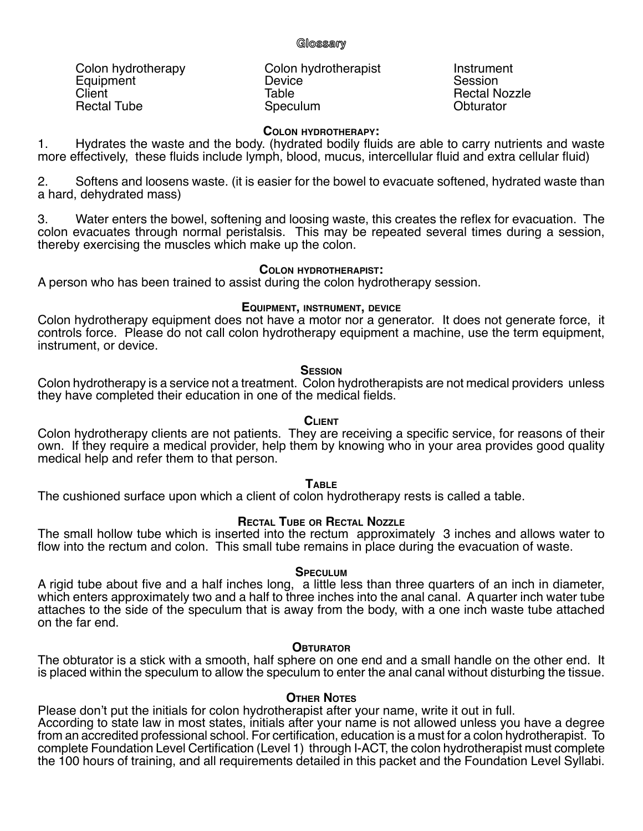## **Glossary**

Colon hydrotherapy Colon hydrotherapist Colon herapist<br>
Equipment Colon bydrotherapist Colon Session Equipment Device<br>Client Client Table Rectal Tube

Table **Table** Rectal Nozzle<br>
Speculum **Contract Obturator** 

### **Colon hydrotherapy:**

1. Hydrates the waste and the body. (hydrated bodily fluids are able to carry nutrients and waste more effectively, these fluids include lymph, blood, mucus, intercellular fluid and extra cellular fluid)

2. Softens and loosens waste. (it is easier for the bowel to evacuate softened, hydrated waste than a hard, dehydrated mass)

3. Water enters the bowel, softening and loosing waste, this creates the reflex for evacuation. The colon evacuates through normal peristalsis. This may be repeated several times during a session, thereby exercising the muscles which make up the colon.

### **Colon hydrotherapist:**

A person who has been trained to assist during the colon hydrotherapy session.

## **Equipment, instrument, device**

Colon hydrotherapy equipment does not have a motor nor a generator. It does not generate force, it controls force. Please do not call colon hydrotherapy equipment a machine, use the term equipment, instrument, or device.

## **Session**

Colon hydrotherapy is a service not a treatment. Colon hydrotherapists are not medical providers unless they have completed their education in one of the medical fields.

## **Client**

Colon hydrotherapy clients are not patients. They are receiving a specific service, for reasons of their own. If they require a medical provider, help them by knowing who in your area provides good quality medical help and refer them to that person.

## **Table**

The cushioned surface upon which a client of colon hydrotherapy rests is called a table.

## **Rectal Tube or Rectal Nozzle**

The small hollow tube which is inserted into the rectum approximately 3 inches and allows water to flow into the rectum and colon. This small tube remains in place during the evacuation of waste.

### **Speculum**

A rigid tube about five and a half inches long, a little less than three quarters of an inch in diameter, which enters approximately two and a half to three inches into the anal canal. A quarter inch water tube attaches to the side of the speculum that is away from the body, with a one inch waste tube attached on the far end.

## **Obturator**

The obturator is a stick with a smooth, half sphere on one end and a small handle on the other end. It is placed within the speculum to allow the speculum to enter the anal canal without disturbing the tissue.

### **Other Notes**

Please don't put the initials for colon hydrotherapist after your name, write it out in full. According to state law in most states, initials after your name is not allowed unless you have a degree from an accredited professional school. For certification, education is a must for a colon hydrotherapist. To complete Foundation Level Certification (Level 1) through I-ACT, the colon hydrotherapist must complete the 100 hours of training, and all requirements detailed in this packet and the Foundation Level Syllabi.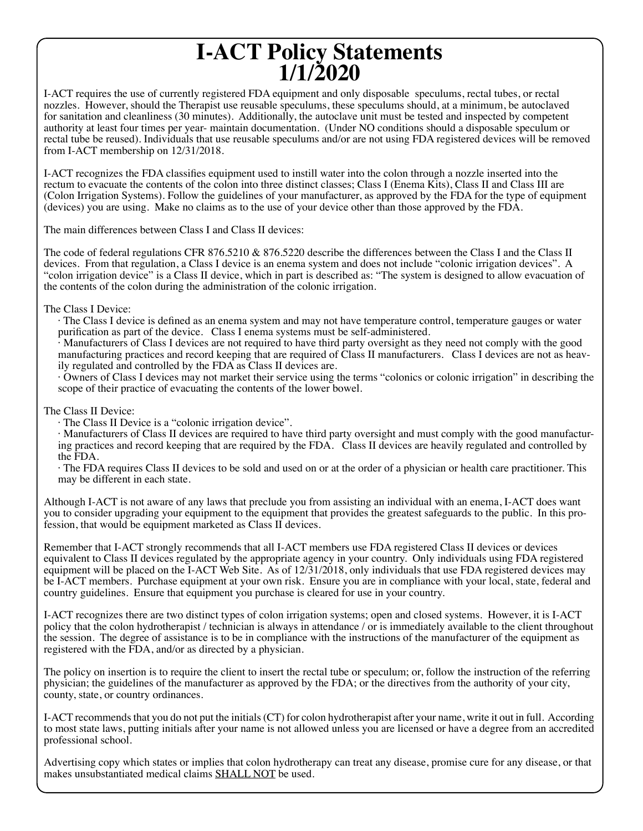# **I-ACT Policy Statements 1/1/2020**

I-ACT requires the use of currently registered FDA equipment and only disposable speculums, rectal tubes, or rectal nozzles. However, should the Therapist use reusable speculums, these speculums should, at a minimum, be autoclaved for sanitation and cleanliness (30 minutes). Additionally, the autoclave unit must be tested and inspected by competent authority at least four times per year- maintain documentation. (Under NO conditions should a disposable speculum or rectal tube be reused). Individuals that use reusable speculums and/or are not using FDA registered devices will be removed from I-ACT membership on 12/31/2018.

I-ACT recognizes the FDA classifies equipment used to instill water into the colon through a nozzle inserted into the rectum to evacuate the contents of the colon into three distinct classes; Class I (Enema Kits), Class II and Class III are (Colon Irrigation Systems). Follow the guidelines of your manufacturer, as approved by the FDA for the type of equipment (devices) you are using. Make no claims as to the use of your device other than those approved by the FDA.

The main differences between Class I and Class II devices:

The code of federal regulations CFR 876.5210 & 876.5220 describe the differences between the Class I and the Class II devices. From that regulation, a Class I device is an enema system and does not include "colonic irrigation devices". A "colon irrigation device" is a Class II device, which in part is described as: "The system is designed to allow evacuation of the contents of the colon during the administration of the colonic irrigation.

The Class I Device:

· The Class I device is defined as an enema system and may not have temperature control, temperature gauges or water purification as part of the device. Class I enema systems must be self-administered.

· Manufacturers of Class I devices are not required to have third party oversight as they need not comply with the good manufacturing practices and record keeping that are required of Class II manufacturers. Class I devices are not as heavily regulated and controlled by the FDA as Class II devices are.

· Owners of Class I devices may not market their service using the terms "colonics or colonic irrigation" in describing the scope of their practice of evacuating the contents of the lower bowel.

The Class II Device:

· The Class II Device is a "colonic irrigation device".

· Manufacturers of Class II devices are required to have third party oversight and must comply with the good manufacturing practices and record keeping that are required by the FDA. Class II devices are heavily regulated and controlled by the FDA.

· The FDA requires Class II devices to be sold and used on or at the order of a physician or health care practitioner. This may be different in each state.

Although I-ACT is not aware of any laws that preclude you from assisting an individual with an enema, I-ACT does want you to consider upgrading your equipment to the equipment that provides the greatest safeguards to the public. In this profession, that would be equipment marketed as Class II devices.

Remember that I-ACT strongly recommends that all I-ACT members use FDA registered Class II devices or devices equivalent to Class II devices regulated by the appropriate agency in your country. Only individuals using FDA registered equipment will be placed on the I-ACT Web Site. As of 12/31/2018, only individuals that use FDA registered devices may be I-ACT members. Purchase equipment at your own risk. Ensure you are in compliance with your local, state, federal and country guidelines. Ensure that equipment you purchase is cleared for use in your country.

I-ACT recognizes there are two distinct types of colon irrigation systems; open and closed systems. However, it is I-ACT policy that the colon hydrotherapist / technician is always in attendance / or is immediately available to the client throughout the session. The degree of assistance is to be in compliance with the instructions of the manufacturer of the equipment as registered with the FDA, and/or as directed by a physician.

The policy on insertion is to require the client to insert the rectal tube or speculum; or, follow the instruction of the referring physician; the guidelines of the manufacturer as approved by the FDA; or the directives from the authority of your city, county, state, or country ordinances.

I-ACT recommends that you do not put the initials (CT) for colon hydrotherapist after your name, write it out in full. According to most state laws, putting initials after your name is not allowed unless you are licensed or have a degree from an accredited professional school.

Advertising copy which states or implies that colon hydrotherapy can treat any disease, promise cure for any disease, or that makes unsubstantiated medical claims SHALL NOT be used.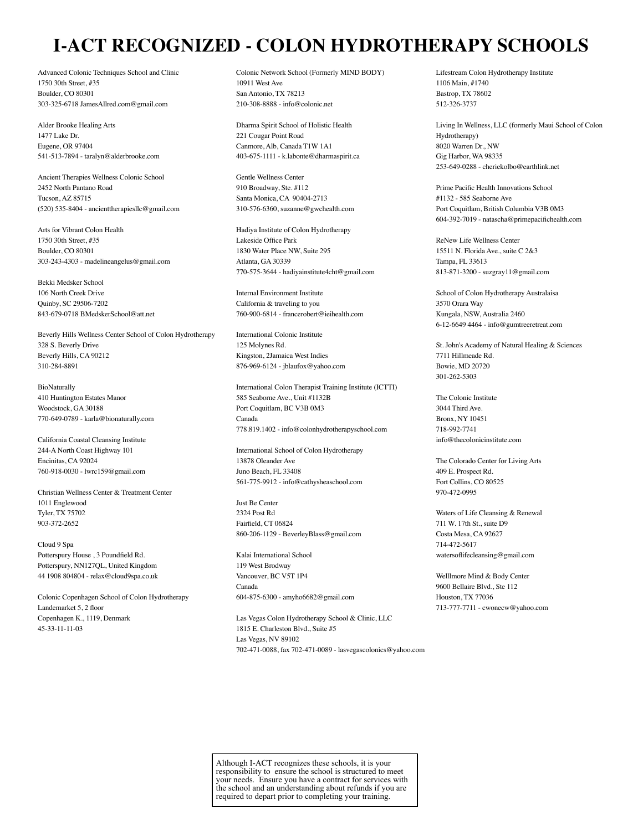# **I-ACT RECOGNIZED - COLON HYDROTHERAPY SCHOOLS**

Advanced Colonic Techniques School and Clinic 1750 30th Street, #35 Boulder, CO 80301 303-325-6718 JamesAllred.com@gmail.com

Alder Brooke Healing Arts 1477 Lake Dr. Eugene, OR 97404 541-513-7894 - taralyn@alderbrooke.com

Ancient Therapies Wellness Colonic School 2452 North Pantano Road Tucson, AZ 85715 (520) 535-8404 - ancienttherapiesllc@gmail.com

Arts for Vibrant Colon Health 1750 30th Street, #35 Boulder, CO 80301 303-243-4303 - madelineangelus@gmail.com

Bekki Medsker School 106 North Creek Drive Quinby, SC 29506-7202 843-679-0718 BMedskerSchool@att.net

Beverly Hills Wellness Center School of Colon Hydrotherapy 328 S. Beverly Drive Beverly Hills, CA 90212 310-284-8891

BioNaturally 410 Huntington Estates Manor Woodstock, GA 30188 770-649-0789 - karla@bionaturally.com

California Coastal Cleansing Institute 244-A North Coast Highway 101 Encinitas, CA 92024 760-918-0030 - lwrc159@gmail.com

Christian Wellness Center & Treatment Center 1011 Englewood Tyler, TX 75702 903-372-2652

Cloud 9 Spa Potterspury House , 3 Poundfield Rd. Potterspury, NN127QL, United Kingdom 44 1908 804804 - relax@cloud9spa.co.uk

Colonic Copenhagen School of Colon Hydrotherapy Landemarket 5, 2 floor Copenhagen K., 1119, Denmark 45-33-11-11-03

Colonic Network School (Formerly MIND BODY) 10911 West Ave San Antonio, TX 78213 210-308-8888 - info@colonic.net

Dharma Spirit School of Holistic Health 221 Cougar Point Road Canmore, Alb, Canada T1W 1A1 403-675-1111 - k.labonte@dharmaspirit.ca

Gentle Wellness Center 910 Broadway, Ste. #112 Santa Monica, CA 90404-2713 310-576-6360, suzanne@gwchealth.com

Hadiya Institute of Colon Hydrotherapy Lakeside Office Park 1830 Water Place NW, Suite 295 Atlanta, GA 30339 770-575-3644 - hadiyainstitute4cht@gmail.com

Internal Environment Institute California & traveling to you 760-900-6814 - francerobert@ieihealth.com

International Colonic Institute 125 Molynes Rd. Kingston, 2Jamaica West Indies 876-969-6124 - jblaufox@yahoo.com

International Colon Therapist Training Institute (ICTTI) 585 Seaborne Ave., Unit #1132B Port Coquitlam, BC V3B 0M3 Canada 778.819.1402 - info@colonhydrotherapyschool.com

International School of Colon Hydrotherapy 13878 Oleander Ave Juno Beach, FL 33408 561-775-9912 - info@cathysheaschool.com

Just Be Center 2324 Post Rd Fairfield, CT 06824 860-206-1129 - BeverleyBlass@gmail.com

Kalai International School 119 West Brodway Vancouver, BC V5T 1P4 Canada 604-875-6300 - amyho6682@gmail.com

Las Vegas Colon Hydrotherapy School & Clinic, LLC 1815 E. Charleston Blvd., Suite #5 Las Vegas, NV 89102 702-471-0088, fax 702-471-0089 - lasvegascolonics@yahoo.com Lifestream Colon Hydrotherapy Institute 1106 Main, #1740 Bastrop, TX 78602 512-326-3737

Living In Wellness, LLC (formerly Maui School of Colon Hydrotherapy) 8020 Warren Dr., NW Gig Harbor, WA 98335 253-649-0288 - cheriekolbo@earthlink.net

Prime Pacific Health Innovations School #1132 - 585 Seaborne Ave Port Coquitlam, British Columbia V3B 0M3 604-392-7019 - natascha@primepacifichealth.com

ReNew Life Wellness Center 15511 N. Florida Ave., suite C 2&3 Tampa, FL 33613 813-871-3200 - suzgray11@gmail.com

School of Colon Hydrotherapy Australaisa 3570 Orara Way Kungala, NSW, Australia 2460 6-12-6649 4464 - info@gumtreeretreat.com

St. John's Academy of Natural Healing & Sciences 7711 Hillmeade Rd. Bowie, MD 20720 301-262-5303

The Colonic Institute 3044 Third Ave. Bronx, NY 10451 718-992-7741 info@thecolonicinstitute.com

The Colorado Center for Living Arts 409 E. Prospect Rd. Fort Collins, CO 80525 970-472-0995

Waters of Life Cleansing & Renewal 711 W. 17th St., suite D9 Costa Mesa, CA 92627 714-472-5617 watersoflifecleansing@gmail.com

Welllmore Mind & Body Center 9600 Bellaire Blvd., Ste 112 Houston, TX 77036 713-777-7711 - cwonecw@yahoo.com

Although I-ACT recognizes these schools, it is your responsibility to ensure the school is structured to meet your needs. Ensure you have a contract for services with the school and an understanding about refunds if you are required to depart prior to completing your training.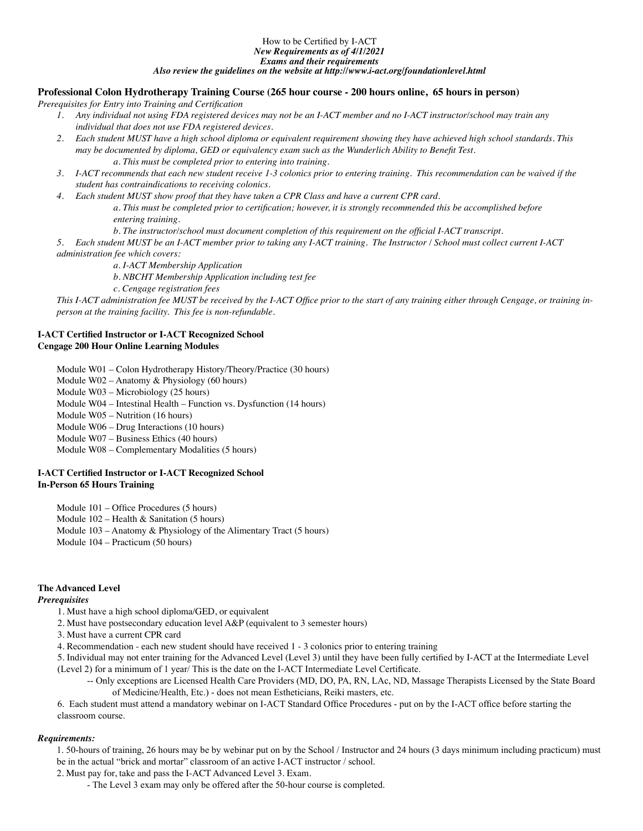## How to be Certified by I-ACT

*New Requirements as of 4/1/2021 Exams and their requirements* 

*Also review the guidelines on the website at http://www.i-act.org/foundationlevel.html*

#### **Professional Colon Hydrotherapy Training Course (265 hour course - 200 hours online, 65 hours in person)**

*Prerequisites for Entry into Training and Certification*

- *1. Any individual not using FDA registered devices may not be an I-ACT member and no I-ACT instructor/school may train any individual that does not use FDA registered devices.*
- *2. Each student MUST have a high school diploma or equivalent requirement showing they have achieved high school standards. This may be documented by diploma, GED or equivalency exam such as the Wunderlich Ability to Benefit Test. a. This must be completed prior to entering into training.*
- *3. I-ACT recommends that each new student receive 1-3 colonics prior to entering training. This recommendation can be waived if the student has contraindications to receiving colonics.*
- *4. Each student MUST show proof that they have taken a CPR Class and have a current CPR card. a. This must be completed prior to certification; however, it is strongly recommended this be accomplished before entering training.*
	- *b. The instructor/school must document completion of this requirement on the official I-ACT transcript.*

*5. Each student MUST be an I-ACT member prior to taking any I-ACT training. The Instructor / School must collect current I-ACT administration fee which covers:* 

*a. I-ACT Membership Application*

*b. NBCHT Membership Application including test fee*

*c. Cengage registration fees*

*This I-ACT administration fee MUST be received by the I-ACT Office prior to the start of any training either through Cengage, or training inperson at the training facility. This fee is non-refundable.*

#### **I-ACT Certified Instructor or I-ACT Recognized School Cengage 200 Hour Online Learning Modules**

Module W01 – Colon Hydrotherapy History/Theory/Practice (30 hours)

- Module W02 Anatomy & Physiology (60 hours)
- Module W03 Microbiology (25 hours)

Module W04 – Intestinal Health – Function vs. Dysfunction (14 hours)

Module W05 – Nutrition (16 hours)

Module W06 – Drug Interactions (10 hours)

Module W07 – Business Ethics (40 hours)

Module W08 – Complementary Modalities (5 hours)

#### **I-ACT Certified Instructor or I-ACT Recognized School In-Person 65 Hours Training**

Module 101 – Office Procedures (5 hours)

- Module 102 Health & Sanitation (5 hours)
- Module 103 Anatomy & Physiology of the Alimentary Tract (5 hours)
- Module 104 Practicum (50 hours)

#### **The Advanced Level**

#### *Prerequisites*

- 1. Must have a high school diploma/GED, or equivalent
- 2. Must have postsecondary education level A&P (equivalent to 3 semester hours)
- 3. Must have a current CPR card
- 4. Recommendation each new student should have received 1 3 colonics prior to entering training

5. Individual may not enter training for the Advanced Level (Level 3) until they have been fully certified by I-ACT at the Intermediate Level (Level 2) for a minimum of 1 year/ This is the date on the I-ACT Intermediate Level Certificate.

 -- Only exceptions are Licensed Health Care Providers (MD, DO, PA, RN, LAc, ND, Massage Therapists Licensed by the State Board of Medicine/Health, Etc.) - does not mean Estheticians, Reiki masters, etc.

6. Each student must attend a mandatory webinar on I-ACT Standard Office Procedures - put on by the I-ACT office before starting the classroom course.

#### *Requirements:*

1. 50-hours of training, 26 hours may be by webinar put on by the School / Instructor and 24 hours (3 days minimum including practicum) must be in the actual "brick and mortar" classroom of an active I-ACT instructor / school.

- 2. Must pay for, take and pass the I-ACT Advanced Level 3. Exam.
	- The Level 3 exam may only be offered after the 50-hour course is completed.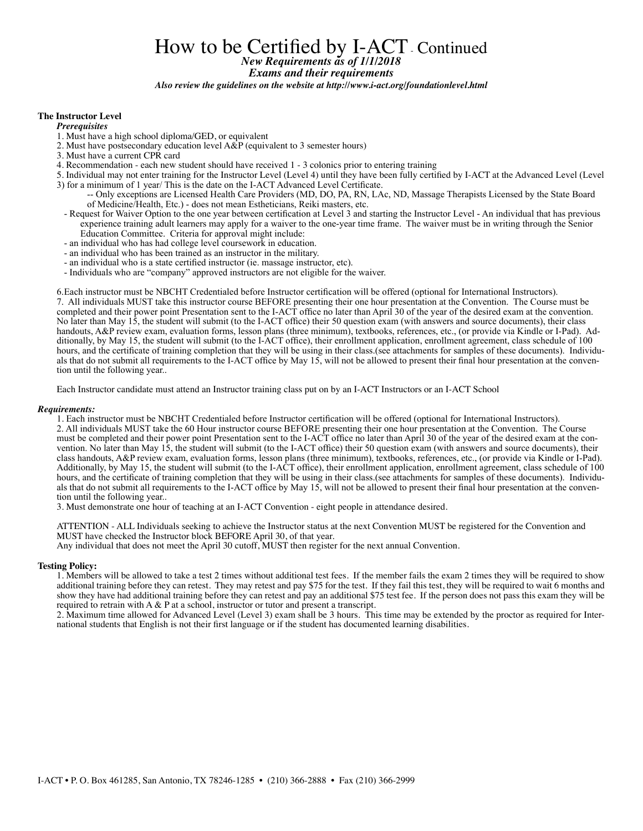## How to be Certified by I-ACT Continued *New Requirements as of 1/1/2018 Exams and their requirements Also review the guidelines on the website at http://www.i-act.org/foundationlevel.html*

#### **The Instructor Level**

*Prerequisites*

- 1. Must have a high school diploma/GED, or equivalent
- 2. Must have postsecondary education level A&P (equivalent to 3 semester hours)
- 3. Must have a current CPR card
- 4. Recommendation each new student should have received 1 3 colonics prior to entering training
- 5. Individual may not enter training for the Instructor Level (Level 4) until they have been fully certified by I-ACT at the Advanced Level (Level 3) for a minimum of 1 year/ This is the date on the I-ACT Advanced Level Certificate.
	- -- Only exceptions are Licensed Health Care Providers (MD, DO, PA, RN, LAc, ND, Massage Therapists Licensed by the State Board of Medicine/Health, Etc.) - does not mean Estheticians, Reiki masters, etc.
	- Request for Waiver Option to the one year between certification at Level 3 and starting the Instructor Level An individual that has previous experience training adult learners may apply for a waiver to the one-year time frame. The waiver must be in writing through the Senior Education Committee. Criteria for approval might include:
	- an individual who has had college level coursework in education.
	- an individual who has been trained as an instructor in the military.
	- an individual who is a state certified instructor (ie. massage instructor, etc).
	- Individuals who are "company" approved instructors are not eligible for the waiver.

6.Each instructor must be NBCHT Credentialed before Instructor certification will be offered (optional for International Instructors). 7. All individuals MUST take this instructor course BEFORE presenting their one hour presentation at the Convention. The Course must be completed and their power point Presentation sent to the I-ACT office no later than April 30 of the year of the desired exam at the convention. No later than May 15, the student will submit (to the I-ACT office) their 50 question exam (with answers and source documents), their class handouts, A&P review exam, evaluation forms, lesson plans (three minimum), textbooks, references, etc., (or provide via Kindle or I-Pad). Additionally, by May 15, the student will submit (to the I-ACT office), their enrollment application, enrollment agreement, class schedule of 100 hours, and the certificate of training completion that they will be using in their class.(see attachments for samples of these documents). Individuals that do not submit all requirements to the I-ACT office by May 15, will not be allowed to present their final hour presentation at the convention until the following year..

Each Instructor candidate must attend an Instructor training class put on by an I-ACT Instructors or an I-ACT School

#### *Requirements:*

1. Each instructor must be NBCHT Credentialed before Instructor certification will be offered (optional for International Instructors). 2. All individuals MUST take the 60 Hour instructor course BEFORE presenting their one hour presentation at the Convention. The Course must be completed and their power point Presentation sent to the I-ACT office no later than April 30 of the year of the desired exam at the convention. No later than May 15, the student will submit (to the I-ACT office) their 50 question exam (with answers and source documents), their class handouts, A&P review exam, evaluation forms, lesson plans (three minimum), textbooks, references, etc., (or provide via Kindle or I-Pad). Additionally, by May 15, the student will submit (to the I-ACT office), their enrollment application, enrollment agreement, class schedule of 100 hours, and the certificate of training completion that they will be using in their class.(see attachments for samples of these documents). Individuals that do not submit all requirements to the I-ACT office by May 15, will not be allowed to present their final hour presentation at the convention until the following year..

3. Must demonstrate one hour of teaching at an I-ACT Convention - eight people in attendance desired.

ATTENTION - ALL Individuals seeking to achieve the Instructor status at the next Convention MUST be registered for the Convention and MUST have checked the Instructor block BEFORE April 30, of that year.

Any individual that does not meet the April 30 cutoff, MUST then register for the next annual Convention.

#### **Testing Policy:**

1. Members will be allowed to take a test 2 times without additional test fees. If the member fails the exam 2 times they will be required to show additional training before they can retest. They may retest and pay \$75 for the test. If they fail this test, they will be required to wait 6 months and show they have had additional training before they can retest and pay an additional \$75 test fee. If the person does not pass this exam they will be required to retrain with A & P at a school, instructor or tutor and present a transcript.

2. Maximum time allowed for Advanced Level (Level 3) exam shall be 3 hours. This time may be extended by the proctor as required for International students that English is not their first language or if the student has documented learning disabilities.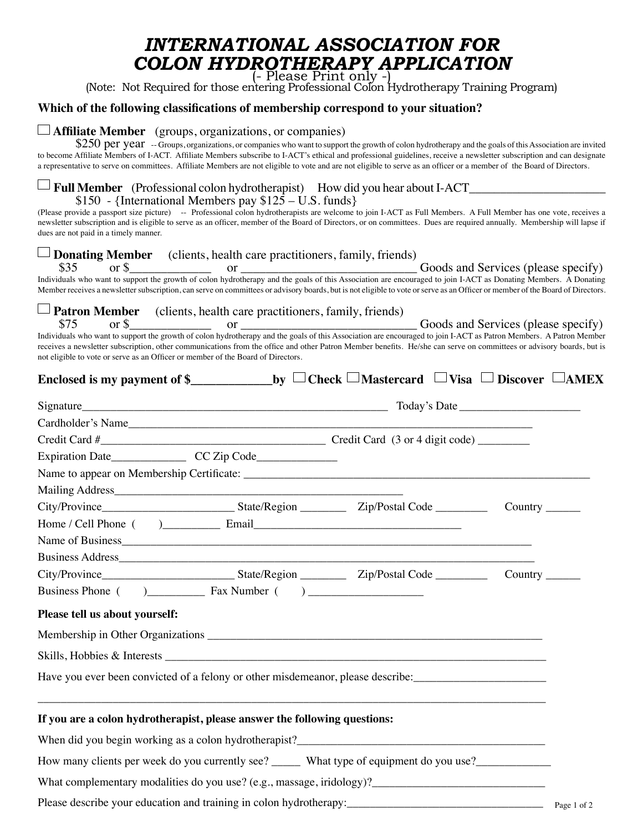# *INTERNATIONAL ASSOCIATION FOR COLON HYDROTHERAPY APPLICATION*

(Note: Not Required for those entering Professional Colon Hydrotherapy Training Program)

## **Which of the following classifications of membership correspond to your situation?**

### **Affiliate Member** (groups, organizations, or companies)

\$250 per year -- Groups, organizations, or companies who want to support the growth of colon hydrotherapy and the goals of this Association are invited to become Affiliate Members of I-ACT. Affiliate Members subscribe to I-ACT's ethical and professional guidelines, receive a newsletter subscription and can designate a representative to serve on committees. Affiliate Members are not eligible to vote and are not eligible to serve as an officer or a member of the Board of Directors.

## **Full Member** (Professional colon hydrotherapist) How did you hear about I-ACT\_\_\_\_\_\_\_\_\_\_\_\_\_\_\_\_\_\_\_\_\_\_

## $$150$  - {International Members pay  $$125 - U.S.$  funds}

(Please provide a passport size picture) -- Professional colon hydrotherapists are welcome to join I-ACT as Full Members. A Full Member has one vote, receives a newsletter subscription and is eligible to serve as an officer, member of the Board of Directors, or on committees. Dues are required annually. Membership will lapse if dues are not paid in a timely manner.

| $\Box$ <b>Donating Member</b> (clients, health care practitioners, family, friends)<br>\$35                                                                                                                                                                                                                                                                                                                                                                                                                                  |             |
|------------------------------------------------------------------------------------------------------------------------------------------------------------------------------------------------------------------------------------------------------------------------------------------------------------------------------------------------------------------------------------------------------------------------------------------------------------------------------------------------------------------------------|-------------|
| or ________________________________Goods and Services (please specify)<br>Individuals who want to support the growth of colon hydrotherapy and the goals of this Association are encouraged to join I-ACT as Donating Members. A Donating<br>Member receives a newsletter subscription, can serve on committees or advisory boards, but is not eligible to vote or serve as an Officer or member of the Board of Directors.                                                                                                  |             |
| $\Box$ Patron Member (clients, health care practitioners, family, friends)<br>\$75 or \$ or \$ or \$ or \$ or \$ or & between the growth of colon hydrotherapy and the goals of this Association are encouraged to join I-ACT as Patron Members. A Patron Member<br>receives a newsletter subscription, other communications from the office and other Patron Member benefits. He/she can serve on committees or advisory boards, but is<br>not eligible to vote or serve as an Officer or member of the Board of Directors. |             |
| Enclosed is my payment of \$_______________________by $\Box$ Check $\Box$ Mastercard $\Box$ Visa $\Box$ Discover $\Box$ AMEX                                                                                                                                                                                                                                                                                                                                                                                                 |             |
|                                                                                                                                                                                                                                                                                                                                                                                                                                                                                                                              |             |
| Cardholder's Name                                                                                                                                                                                                                                                                                                                                                                                                                                                                                                            |             |
|                                                                                                                                                                                                                                                                                                                                                                                                                                                                                                                              |             |
|                                                                                                                                                                                                                                                                                                                                                                                                                                                                                                                              |             |
|                                                                                                                                                                                                                                                                                                                                                                                                                                                                                                                              |             |
|                                                                                                                                                                                                                                                                                                                                                                                                                                                                                                                              |             |
| Country $\_\_$                                                                                                                                                                                                                                                                                                                                                                                                                                                                                                               |             |
|                                                                                                                                                                                                                                                                                                                                                                                                                                                                                                                              |             |
|                                                                                                                                                                                                                                                                                                                                                                                                                                                                                                                              |             |
|                                                                                                                                                                                                                                                                                                                                                                                                                                                                                                                              |             |
| Country $\_\_$                                                                                                                                                                                                                                                                                                                                                                                                                                                                                                               |             |
|                                                                                                                                                                                                                                                                                                                                                                                                                                                                                                                              |             |
| Please tell us about yourself:                                                                                                                                                                                                                                                                                                                                                                                                                                                                                               |             |
|                                                                                                                                                                                                                                                                                                                                                                                                                                                                                                                              |             |
|                                                                                                                                                                                                                                                                                                                                                                                                                                                                                                                              |             |
| Have you ever been convicted of a felony or other misdemeanor, please describe:                                                                                                                                                                                                                                                                                                                                                                                                                                              |             |
| If you are a colon hydrotherapist, please answer the following questions:                                                                                                                                                                                                                                                                                                                                                                                                                                                    |             |
|                                                                                                                                                                                                                                                                                                                                                                                                                                                                                                                              |             |
| How many clients per week do you currently see? ______ What type of equipment do you use?___________                                                                                                                                                                                                                                                                                                                                                                                                                         |             |
|                                                                                                                                                                                                                                                                                                                                                                                                                                                                                                                              |             |
|                                                                                                                                                                                                                                                                                                                                                                                                                                                                                                                              | Page 1 of 2 |